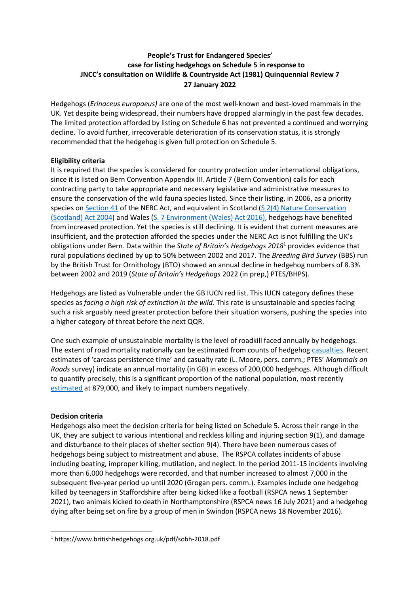# **People's Trust for Endangered Species' case for listing hedgehogs on Schedule 5 in response to JNCC's consultation on Wildlife & Countryside Act (1981) Quinquennial Review 7 27 January 2022**

Hedgehogs (*Erinaceus europaeus)* are one of the most well-known and best-loved mammals in the UK. Yet despite being widespread, their numbers have dropped alarmingly in the past few decades. The limited protection afforded by listing on Schedule 6 has not prevented a continued and worrying decline. To avoid further, irrecoverable deterioration of its conservation status, it is strongly recommended that the hedgehog is given full protection on Schedule 5.

## **Eligibility criteria**

It is required that the species is considered for country protection under international obligations, since it is listed on Bern Convention Appendix III. Article 7 (Bern Convention) calls for each contracting party to take appropriate and necessary legislative and administrative measures to ensure the conservation of the wild fauna species listed. Since their listing, in 2006, as a priority species on [Section 41](https://www.legislation.gov.uk/ukpga/2006/16/section/41) of the NERC Act, and equivalent in Scotland (S 2(4) Nature Conservation [\(Scotland\) Act 2004\)](https://www.legislation.gov.uk/asp/2004/6/section/2?view=plain) and Wales [\(S. 7 Environment \(Wales\) Act 2016\),](https://www.legislation.gov.uk/anaw/2016/3/section/7/enacted) hedgehogs have benefited from increased protection. Yet the species is still declining. It is evident that current measures are insufficient, and the protection afforded the species under the NERC Act is not fulfilling the UK's obligations under Bern. Data within the *State of Britain's Hedgehogs 2018*<sup>1</sup> provides evidence that rural populations declined by up to 50% between 2002 and 2017. The *Breeding Bird Survey* (BBS) run by the British Trust for Ornithology (BTO) showed an annual decline in hedgehog numbers of 8.3% between 2002 and 2019 (*State of Britain's Hedgehogs* 2022 (in prep,) PTES/BHPS).

Hedgehogs are listed as Vulnerable under the GB IUCN red list. This IUCN category defines these species as *facing a high risk of extinction in the wild.* This rate is unsustainable and species facing such a risk arguably need greater protection before their situation worsens, pushing the species into a higher category of threat before the next QQR.

One such example of unsustainable mortality is the level of roadkill faced annually by hedgehogs. The extent of road mortality nationally can be estimated from counts of hedgehog [casualties.](https://www.mammal.org.uk/wp-content/uploads/2016/04/MC1605_HedgehogsRoads_Wembridge.pdf) Recent estimates of 'carcass persistence time' and casualty rate (L. Moore, pers. comm.; PTES' *Mammals on Roads* survey) indicate an annual mortality (in GB) in excess of 200,000 hedgehogs. Although difficult to quantify precisely, this is a significant proportion of the national population, most recently [estimated](https://www.mammal.org.uk/science-research/red-list/) at 879,000, and likely to impact numbers negatively.

#### **Decision criteria**

Hedgehogs also meet the decision criteria for being listed on Schedule 5. Across their range in the UK, they are subject to various intentional and reckless killing and injuring section 9(1), and damage and disturbance to their places of shelter section 9(4). There have been numerous cases of hedgehogs being subject to mistreatment and abuse. The RSPCA collates incidents of abuse including beating, improper killing, mutilation, and neglect. In the period 2011-15 incidents involving more than 6,000 hedgehogs were recorded, and that number increased to almost 7,000 in the subsequent five-year period up until 2020 (Grogan pers. comm.). Examples include one hedgehog killed by teenagers in Staffordshire after being kicked like a football (RSPCA news 1 September 2021), two animals kicked to death in Northamptonshire (RSPCA news 16 July 2021) and a hedgehog dying after being set on fire by a group of men in Swindon (RSPCA news 18 November 2016).

<sup>1</sup> https://www.britishhedgehogs.org.uk/pdf/sobh-2018.pdf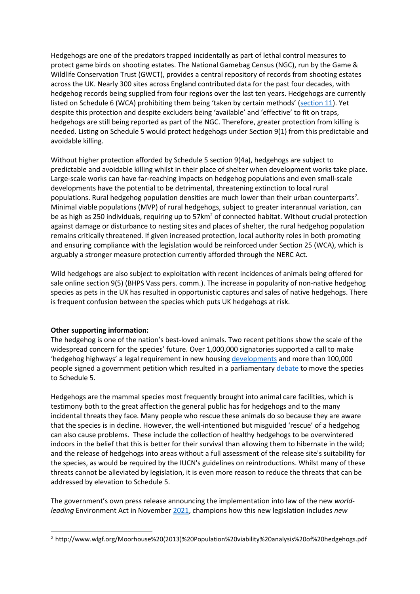Hedgehogs are one of the predators trapped incidentally as part of lethal control measures to protect game birds on shooting estates. The National Gamebag Census (NGC), run by the Game & Wildlife Conservation Trust (GWCT), provides a central repository of records from shooting estates across the UK. Nearly 300 sites across England contributed data for the past four decades, with hedgehog records being supplied from four regions over the last ten years. Hedgehogs are currently listed on Schedule 6 (WCA) prohibiting them being 'taken by certain methods' ([section 11\)](https://www.legislation.gov.uk/ukpga/1981/69/section/11). Yet despite this protection and despite excluders being 'available' and 'effective' to fit on traps, hedgehogs are still being reported as part of the NGC. Therefore, greater protection from killing is needed. Listing on Schedule 5 would protect hedgehogs under Section 9(1) from this predictable and avoidable killing.

Without higher protection afforded by Schedule 5 section 9(4a), hedgehogs are subject to predictable and avoidable killing whilst in their place of shelter when development works take place. Large-scale works can have far-reaching impacts on hedgehog populations and even small-scale developments have the potential to be detrimental, threatening extinction to local rural populations. Rural hedgehog population densities are much lower than their urban counterparts<sup>2</sup>. Minimal viable populations (MVP) of rural hedgehogs, subject to greater interannual variation, can be as high as 250 individuals, requiring up to  $57km^2$  of connected habitat. Without crucial protection against damage or disturbance to nesting sites and places of shelter, the rural hedgehog population remains critically threatened. If given increased protection, local authority roles in both promoting and ensuring compliance with the legislation would be reinforced under Section 25 (WCA), which is arguably a stronger measure protection currently afforded through the NERC Act.

Wild hedgehogs are also subject to exploitation with recent incidences of animals being offered for sale online section 9(5) (BHPS Vass pers. comm.). The increase in popularity of non-native hedgehog species as pets in the UK has resulted in opportunistic captures and sales of native hedgehogs. There is frequent confusion between the species which puts UK hedgehogs at risk.

#### **Other supporting information:**

The hedgehog is one of the nation's best-loved animals. Two recent petitions show the scale of the widespread concern for the species' future. Over 1,000,000 signatories supported a call to make 'hedgehog highways' a legal requirement in new housing [developments](https://www.change.org/p/help-save-britain-s-hedgehogs-with-hedgehog-highways) and more than 100,000 people signed a government petition which resulted in a parliamentary [debate](https://commonslibrary.parliament.uk/research-briefings/cdp-2021-0110/) to move the species to Schedule 5.

Hedgehogs are the mammal species most frequently brought into animal care facilities, which is testimony both to the great affection the general public has for hedgehogs and to the many incidental threats they face. Many people who rescue these animals do so because they are aware that the species is in decline. However, the well-intentioned but misguided 'rescue' of a hedgehog can also cause problems. These include the collection of healthy hedgehogs to be overwintered indoors in the belief that this is better for their survival than allowing them to hibernate in the wild; and the release of hedgehogs into areas without a full assessment of the release site's suitability for the species, as would be required by the IUCN's guidelines on reintroductions. Whilst many of these threats cannot be alleviated by legislation, it is even more reason to reduce the threats that can be addressed by elevation to Schedule 5.

The government's own press release announcing the implementation into law of the new *worldleading* Environment Act in November [2021,](https://www.gov.uk/government/news/world-leading-environment-act-becomes-law) champions how this new legislation includes *new* 

<sup>2</sup> http://www.wlgf.org/Moorhouse%20(2013)%20Population%20viability%20analysis%20of%20hedgehogs.pdf